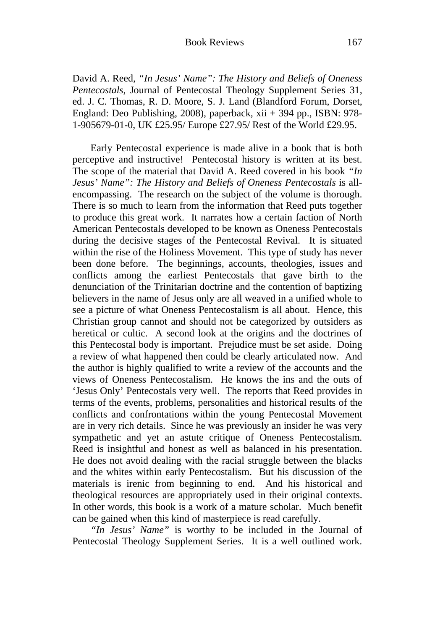David A. Reed, *"In Jesus' Name": The History and Beliefs of Oneness Pentecostals*, Journal of Pentecostal Theology Supplement Series 31, ed. J. C. Thomas, R. D. Moore, S. J. Land (Blandford Forum, Dorset, England: Deo Publishing, 2008), paperback, xii + 394 pp., ISBN: 978- 1-905679-01-0, UK £25.95/ Europe £27.95/ Rest of the World £29.95.

Early Pentecostal experience is made alive in a book that is both perceptive and instructive! Pentecostal history is written at its best. The scope of the material that David A. Reed covered in his book *"In Jesus' Name": The History and Beliefs of Oneness Pentecostals* is allencompassing. The research on the subject of the volume is thorough. There is so much to learn from the information that Reed puts together to produce this great work. It narrates how a certain faction of North American Pentecostals developed to be known as Oneness Pentecostals during the decisive stages of the Pentecostal Revival. It is situated within the rise of the Holiness Movement. This type of study has never been done before. The beginnings, accounts, theologies, issues and conflicts among the earliest Pentecostals that gave birth to the denunciation of the Trinitarian doctrine and the contention of baptizing believers in the name of Jesus only are all weaved in a unified whole to see a picture of what Oneness Pentecostalism is all about. Hence, this Christian group cannot and should not be categorized by outsiders as heretical or cultic. A second look at the origins and the doctrines of this Pentecostal body is important. Prejudice must be set aside. Doing a review of what happened then could be clearly articulated now. And the author is highly qualified to write a review of the accounts and the views of Oneness Pentecostalism. He knows the ins and the outs of 'Jesus Only' Pentecostals very well. The reports that Reed provides in terms of the events, problems, personalities and historical results of the conflicts and confrontations within the young Pentecostal Movement are in very rich details. Since he was previously an insider he was very sympathetic and yet an astute critique of Oneness Pentecostalism. Reed is insightful and honest as well as balanced in his presentation. He does not avoid dealing with the racial struggle between the blacks and the whites within early Pentecostalism. But his discussion of the materials is irenic from beginning to end. And his historical and theological resources are appropriately used in their original contexts. In other words, this book is a work of a mature scholar. Much benefit can be gained when this kind of masterpiece is read carefully.

*"In Jesus' Name"* is worthy to be included in the Journal of Pentecostal Theology Supplement Series. It is a well outlined work.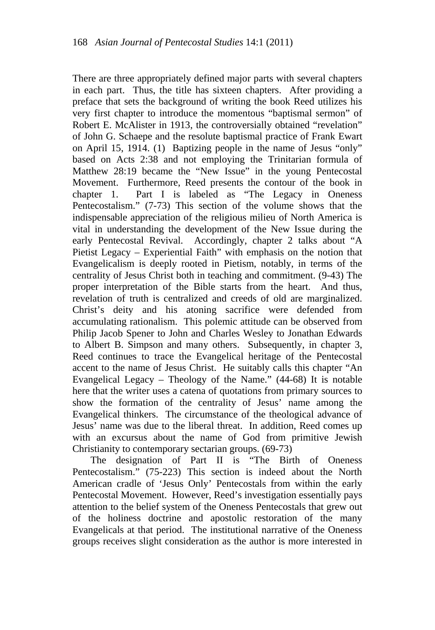There are three appropriately defined major parts with several chapters in each part. Thus, the title has sixteen chapters. After providing a preface that sets the background of writing the book Reed utilizes his very first chapter to introduce the momentous "baptismal sermon" of Robert E. McAlister in 1913, the controversially obtained "revelation" of John G. Schaepe and the resolute baptismal practice of Frank Ewart on April 15, 1914. (1) Baptizing people in the name of Jesus "only" based on Acts 2:38 and not employing the Trinitarian formula of Matthew 28:19 became the "New Issue" in the young Pentecostal Movement. Furthermore, Reed presents the contour of the book in chapter 1. Part I is labeled as "The Legacy in Oneness Pentecostalism." (7-73) This section of the volume shows that the indispensable appreciation of the religious milieu of North America is vital in understanding the development of the New Issue during the early Pentecostal Revival. Accordingly, chapter 2 talks about "A Pietist Legacy – Experiential Faith" with emphasis on the notion that Evangelicalism is deeply rooted in Pietism, notably, in terms of the centrality of Jesus Christ both in teaching and commitment. (9-43) The proper interpretation of the Bible starts from the heart. And thus, revelation of truth is centralized and creeds of old are marginalized. Christ's deity and his atoning sacrifice were defended from accumulating rationalism. This polemic attitude can be observed from Philip Jacob Spener to John and Charles Wesley to Jonathan Edwards to Albert B. Simpson and many others. Subsequently, in chapter 3, Reed continues to trace the Evangelical heritage of the Pentecostal accent to the name of Jesus Christ. He suitably calls this chapter "An Evangelical Legacy – Theology of the Name." (44-68) It is notable here that the writer uses a catena of quotations from primary sources to show the formation of the centrality of Jesus' name among the Evangelical thinkers. The circumstance of the theological advance of Jesus' name was due to the liberal threat. In addition, Reed comes up with an excursus about the name of God from primitive Jewish Christianity to contemporary sectarian groups. (69-73)

The designation of Part II is "The Birth of Oneness Pentecostalism." (75-223) This section is indeed about the North American cradle of 'Jesus Only' Pentecostals from within the early Pentecostal Movement. However, Reed's investigation essentially pays attention to the belief system of the Oneness Pentecostals that grew out of the holiness doctrine and apostolic restoration of the many Evangelicals at that period. The institutional narrative of the Oneness groups receives slight consideration as the author is more interested in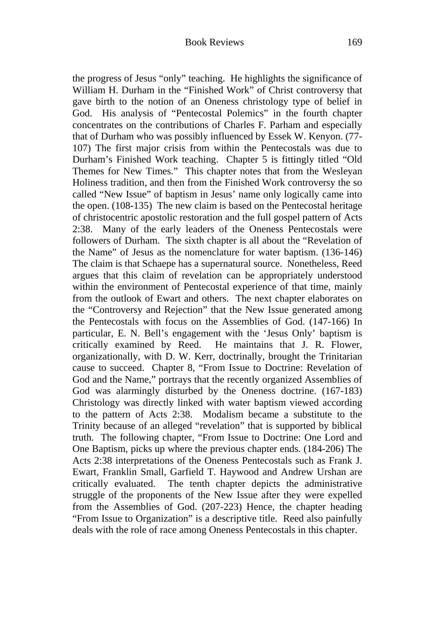the progress of Jesus "only" teaching. He highlights the significance of William H. Durham in the "Finished Work" of Christ controversy that gave birth to the notion of an Oneness christology type of belief in God. His analysis of "Pentecostal Polemics" in the fourth chapter concentrates on the contributions of Charles F. Parham and especially that of Durham who was possibly influenced by Essek W. Kenyon. (77- 107) The first major crisis from within the Pentecostals was due to Durham's Finished Work teaching. Chapter 5 is fittingly titled "Old Themes for New Times." This chapter notes that from the Wesleyan Holiness tradition, and then from the Finished Work controversy the so called "New Issue" of baptism in Jesus' name only logically came into the open. (108-135) The new claim is based on the Pentecostal heritage of christocentric apostolic restoration and the full gospel pattern of Acts 2:38. Many of the early leaders of the Oneness Pentecostals were followers of Durham. The sixth chapter is all about the "Revelation of the Name" of Jesus as the nomenclature for water baptism. (136-146) The claim is that Schaepe has a supernatural source. Nonetheless, Reed argues that this claim of revelation can be appropriately understood within the environment of Pentecostal experience of that time, mainly from the outlook of Ewart and others. The next chapter elaborates on the "Controversy and Rejection" that the New Issue generated among the Pentecostals with focus on the Assemblies of God. (147-166) In particular, E. N. Bell's engagement with the 'Jesus Only' baptism is critically examined by Reed. He maintains that J. R. Flower, organizationally, with D. W. Kerr, doctrinally, brought the Trinitarian cause to succeed. Chapter 8, "From Issue to Doctrine: Revelation of God and the Name," portrays that the recently organized Assemblies of God was alarmingly disturbed by the Oneness doctrine. (167-183) Christology was directly linked with water baptism viewed according to the pattern of Acts 2:38. Modalism became a substitute to the Trinity because of an alleged "revelation" that is supported by biblical truth. The following chapter, "From Issue to Doctrine: One Lord and One Baptism, picks up where the previous chapter ends. (184-206) The Acts 2:38 interpretations of the Oneness Pentecostals such as Frank J. Ewart, Franklin Small, Garfield T. Haywood and Andrew Urshan are critically evaluated. The tenth chapter depicts the administrative struggle of the proponents of the New Issue after they were expelled from the Assemblies of God. (207-223) Hence, the chapter heading "From Issue to Organization" is a descriptive title. Reed also painfully deals with the role of race among Oneness Pentecostals in this chapter.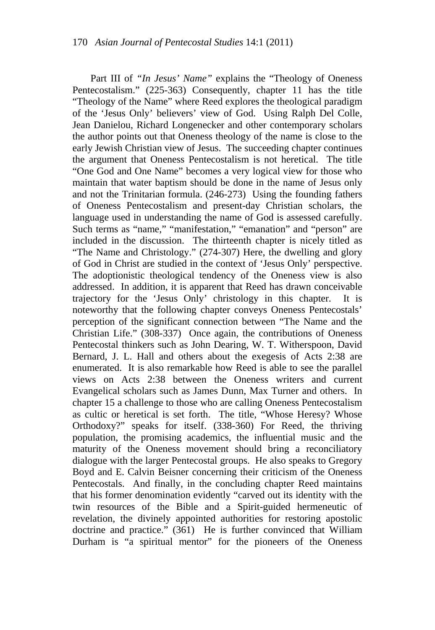Part III of *"In Jesus' Name"* explains the "Theology of Oneness Pentecostalism." (225-363) Consequently, chapter 11 has the title "Theology of the Name" where Reed explores the theological paradigm of the 'Jesus Only' believers' view of God. Using Ralph Del Colle, Jean Danielou, Richard Longenecker and other contemporary scholars the author points out that Oneness theology of the name is close to the early Jewish Christian view of Jesus. The succeeding chapter continues the argument that Oneness Pentecostalism is not heretical. The title "One God and One Name" becomes a very logical view for those who maintain that water baptism should be done in the name of Jesus only and not the Trinitarian formula. (246-273) Using the founding fathers of Oneness Pentecostalism and present-day Christian scholars, the language used in understanding the name of God is assessed carefully. Such terms as "name," "manifestation," "emanation" and "person" are included in the discussion. The thirteenth chapter is nicely titled as "The Name and Christology." (274-307) Here, the dwelling and glory of God in Christ are studied in the context of 'Jesus Only' perspective. The adoptionistic theological tendency of the Oneness view is also addressed. In addition, it is apparent that Reed has drawn conceivable trajectory for the 'Jesus Only' christology in this chapter. It is noteworthy that the following chapter conveys Oneness Pentecostals' perception of the significant connection between "The Name and the Christian Life." (308-337) Once again, the contributions of Oneness Pentecostal thinkers such as John Dearing, W. T. Witherspoon, David Bernard, J. L. Hall and others about the exegesis of Acts 2:38 are enumerated. It is also remarkable how Reed is able to see the parallel views on Acts 2:38 between the Oneness writers and current Evangelical scholars such as James Dunn, Max Turner and others. In chapter 15 a challenge to those who are calling Oneness Pentecostalism as cultic or heretical is set forth. The title, "Whose Heresy? Whose Orthodoxy?" speaks for itself. (338-360) For Reed, the thriving population, the promising academics, the influential music and the maturity of the Oneness movement should bring a reconciliatory dialogue with the larger Pentecostal groups. He also speaks to Gregory Boyd and E. Calvin Beisner concerning their criticism of the Oneness Pentecostals. And finally, in the concluding chapter Reed maintains that his former denomination evidently "carved out its identity with the twin resources of the Bible and a Spirit-guided hermeneutic of revelation, the divinely appointed authorities for restoring apostolic doctrine and practice." (361) He is further convinced that William Durham is "a spiritual mentor" for the pioneers of the Oneness